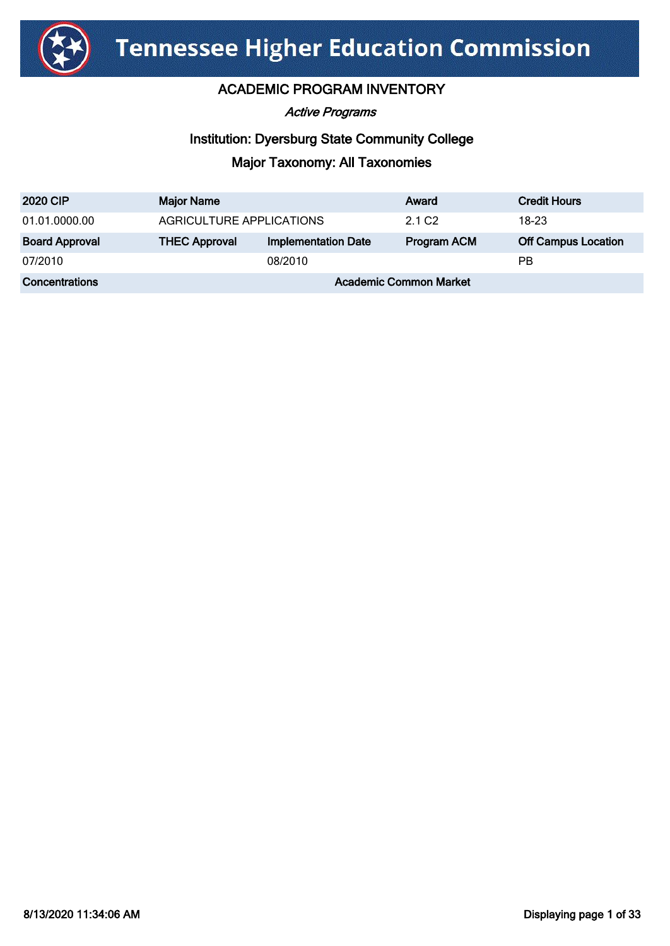

Active Programs

#### Institution: Dyersburg State Community College

| <b>2020 CIP</b>       | <b>Major Name</b>             |                            | Award              | <b>Credit Hours</b>        |
|-----------------------|-------------------------------|----------------------------|--------------------|----------------------------|
| 01.01.0000.00         | AGRICULTURE APPLICATIONS      |                            | 2.1 C <sub>2</sub> | 18-23                      |
| <b>Board Approval</b> | <b>THEC Approval</b>          | <b>Implementation Date</b> | <b>Program ACM</b> | <b>Off Campus Location</b> |
| 07/2010               |                               | 08/2010                    |                    | РB                         |
| <b>Concentrations</b> | <b>Academic Common Market</b> |                            |                    |                            |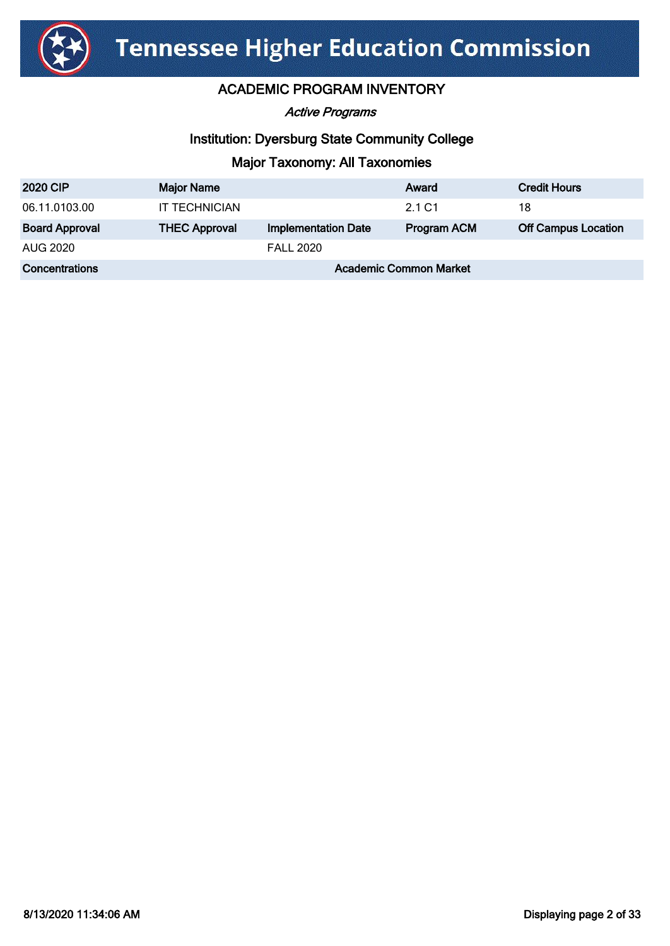

Active Programs

# Institution: Dyersburg State Community College

| <b>2020 CIP</b>       | <b>Major Name</b>             |                            | Award       | <b>Credit Hours</b>        |
|-----------------------|-------------------------------|----------------------------|-------------|----------------------------|
| 06.11.0103.00         | <b>IT TECHNICIAN</b>          |                            | 2.1 C1      | 18                         |
| <b>Board Approval</b> | <b>THEC Approval</b>          | <b>Implementation Date</b> | Program ACM | <b>Off Campus Location</b> |
| AUG 2020              |                               | <b>FALL 2020</b>           |             |                            |
| <b>Concentrations</b> | <b>Academic Common Market</b> |                            |             |                            |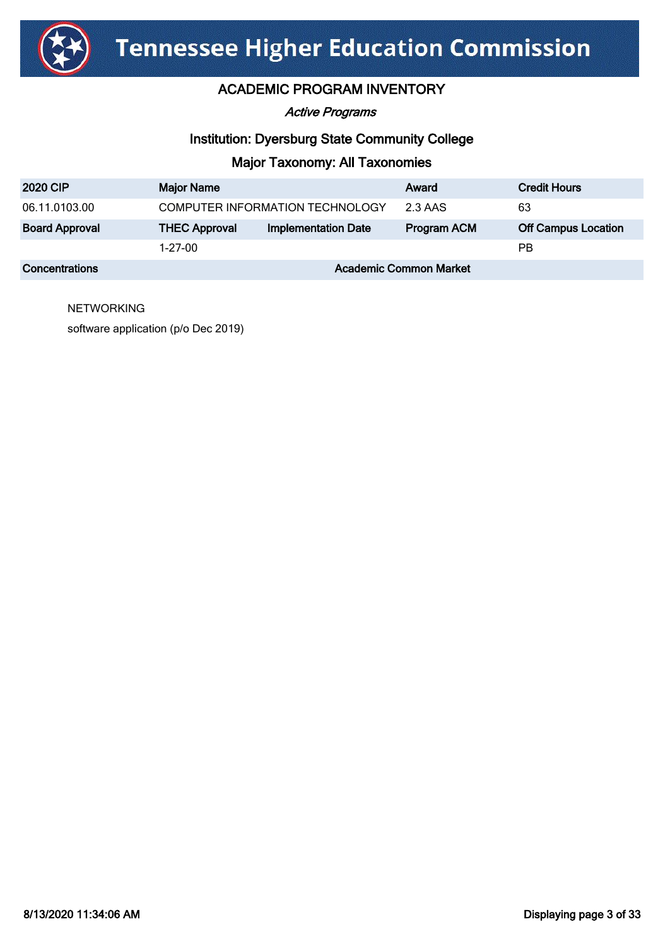

#### Active Programs

#### Institution: Dyersburg State Community College

#### Major Taxonomy: All Taxonomies

| <b>2020 CIP</b>       | <b>Major Name</b>               |                            | Award              | <b>Credit Hours</b>        |
|-----------------------|---------------------------------|----------------------------|--------------------|----------------------------|
| 06.11.0103.00         | COMPUTER INFORMATION TECHNOLOGY |                            | 2.3 AAS            | 63                         |
| <b>Board Approval</b> | <b>THEC Approval</b>            | <b>Implementation Date</b> | <b>Program ACM</b> | <b>Off Campus Location</b> |
|                       | $1 - 27 - 00$                   |                            |                    | РB                         |
| Concentrations        | <b>Academic Common Market</b>   |                            |                    |                            |

**NETWORKING** 

software application (p/o Dec 2019)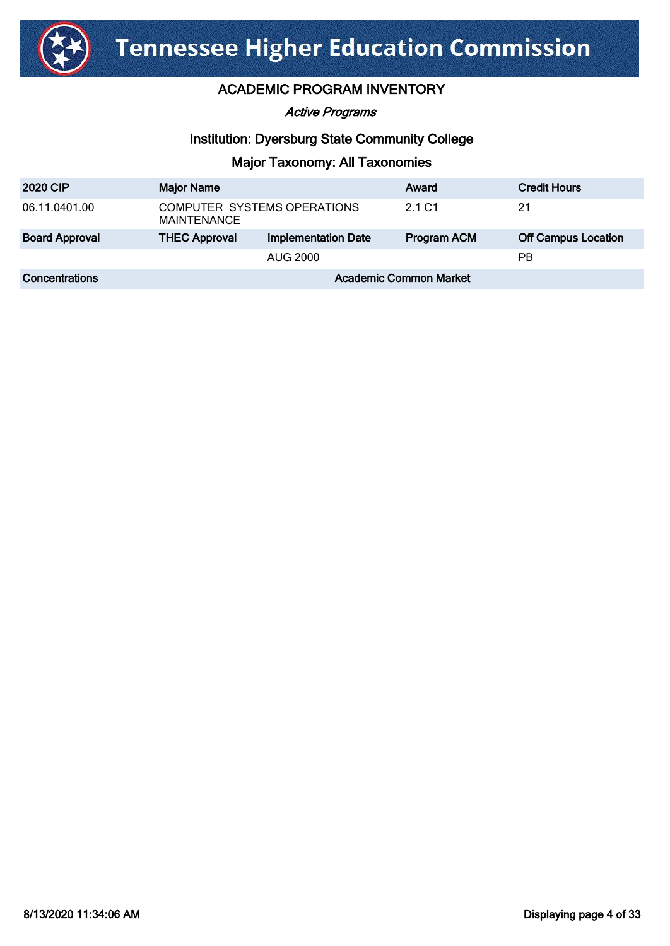

Active Programs

## Institution: Dyersburg State Community College

| <b>2020 CIP</b>       | <b>Major Name</b>                          |                            | Award       | <b>Credit Hours</b>        |
|-----------------------|--------------------------------------------|----------------------------|-------------|----------------------------|
| 06.11.0401.00         | COMPUTER SYSTEMS OPERATIONS<br>MAINTENANCE |                            | 2.1 C1      | 21                         |
| <b>Board Approval</b> | <b>THEC Approval</b>                       | <b>Implementation Date</b> | Program ACM | <b>Off Campus Location</b> |
|                       | AUG 2000                                   |                            |             | РB                         |
| <b>Concentrations</b> | <b>Academic Common Market</b>              |                            |             |                            |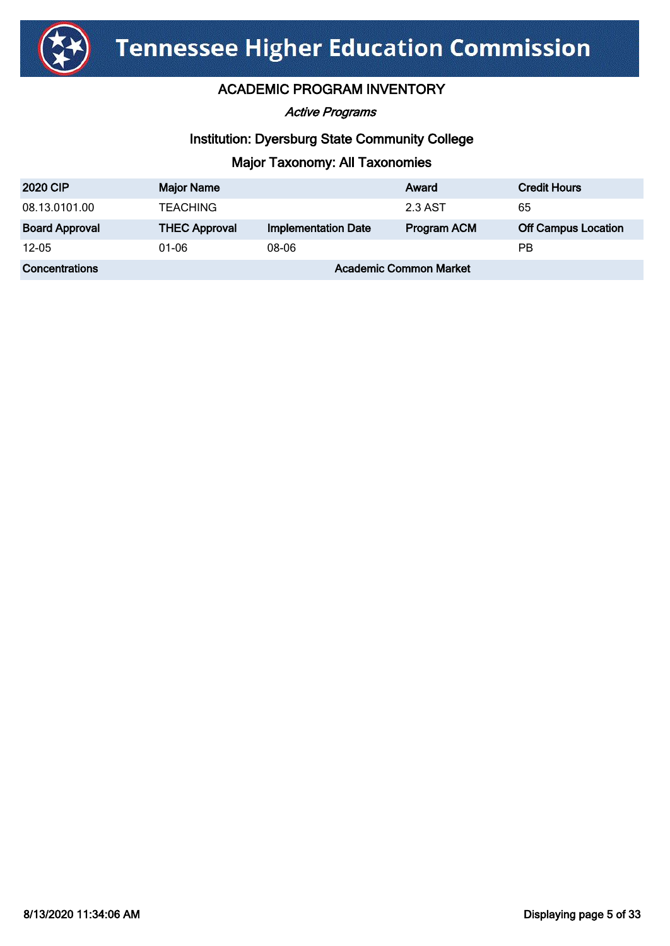

Active Programs

# Institution: Dyersburg State Community College

| <b>2020 CIP</b>       | <b>Major Name</b>             |                            | Award              | <b>Credit Hours</b>        |
|-----------------------|-------------------------------|----------------------------|--------------------|----------------------------|
| 08.13.0101.00         | <b>TEACHING</b>               |                            | 2.3 AST            | 65                         |
| <b>Board Approval</b> | <b>THEC Approval</b>          | <b>Implementation Date</b> | <b>Program ACM</b> | <b>Off Campus Location</b> |
| $12 - 05$             | 01-06                         | 08-06                      |                    | РB                         |
| Concentrations        | <b>Academic Common Market</b> |                            |                    |                            |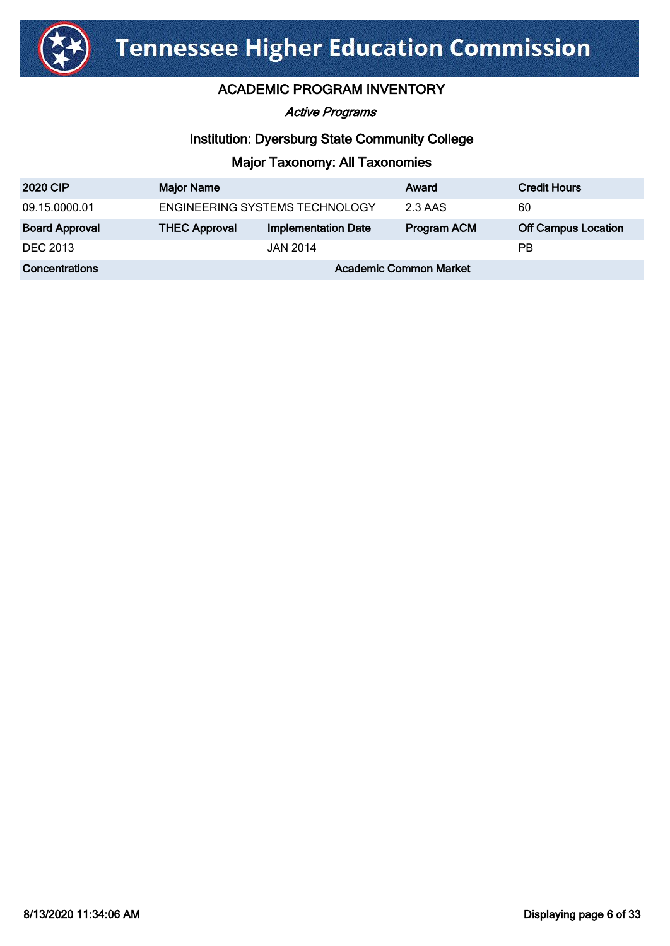

Active Programs

# Institution: Dyersburg State Community College

| <b>2020 CIP</b>       | <b>Major Name</b>              |                            | Award              | <b>Credit Hours</b>        |
|-----------------------|--------------------------------|----------------------------|--------------------|----------------------------|
| 09.15.0000.01         | ENGINEERING SYSTEMS TECHNOLOGY |                            | 2.3 AAS            | 60                         |
| <b>Board Approval</b> | <b>THEC Approval</b>           | <b>Implementation Date</b> | <b>Program ACM</b> | <b>Off Campus Location</b> |
| <b>DEC 2013</b>       |                                | <b>JAN 2014</b>            |                    | <b>PB</b>                  |
| Concentrations        | <b>Academic Common Market</b>  |                            |                    |                            |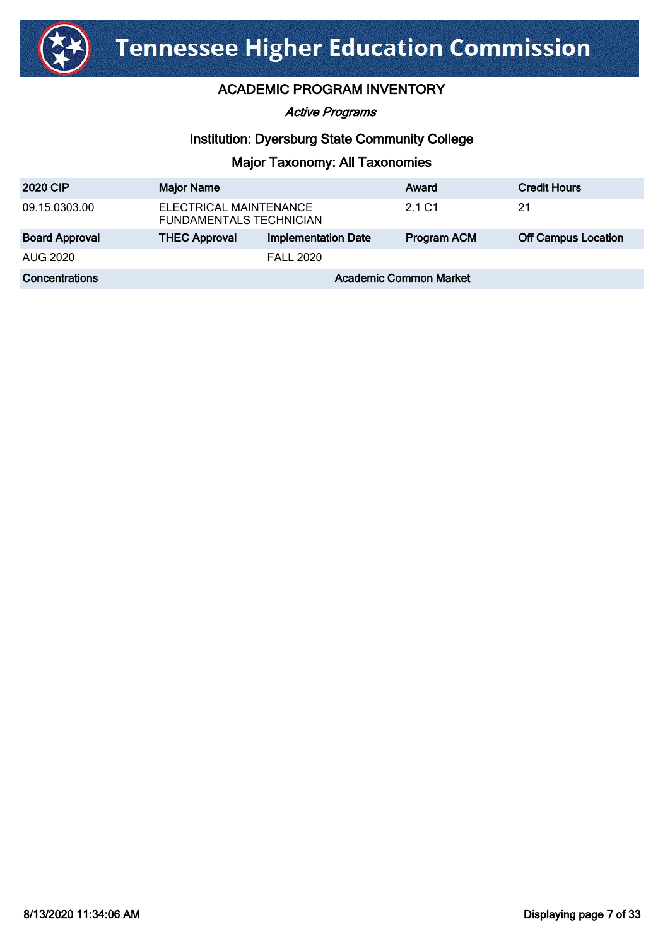

Active Programs

# Institution: Dyersburg State Community College

| <b>2020 CIP</b>       | <b>Major Name</b>                                        |                            | Award              | <b>Credit Hours</b>        |
|-----------------------|----------------------------------------------------------|----------------------------|--------------------|----------------------------|
| 09.15.0303.00         | ELECTRICAL MAINTENANCE<br><b>FUNDAMENTALS TECHNICIAN</b> |                            | 2.1 C1             | 21                         |
| <b>Board Approval</b> | <b>THEC Approval</b>                                     | <b>Implementation Date</b> | <b>Program ACM</b> | <b>Off Campus Location</b> |
| AUG 2020              |                                                          | <b>FALL 2020</b>           |                    |                            |
| Concentrations        | <b>Academic Common Market</b>                            |                            |                    |                            |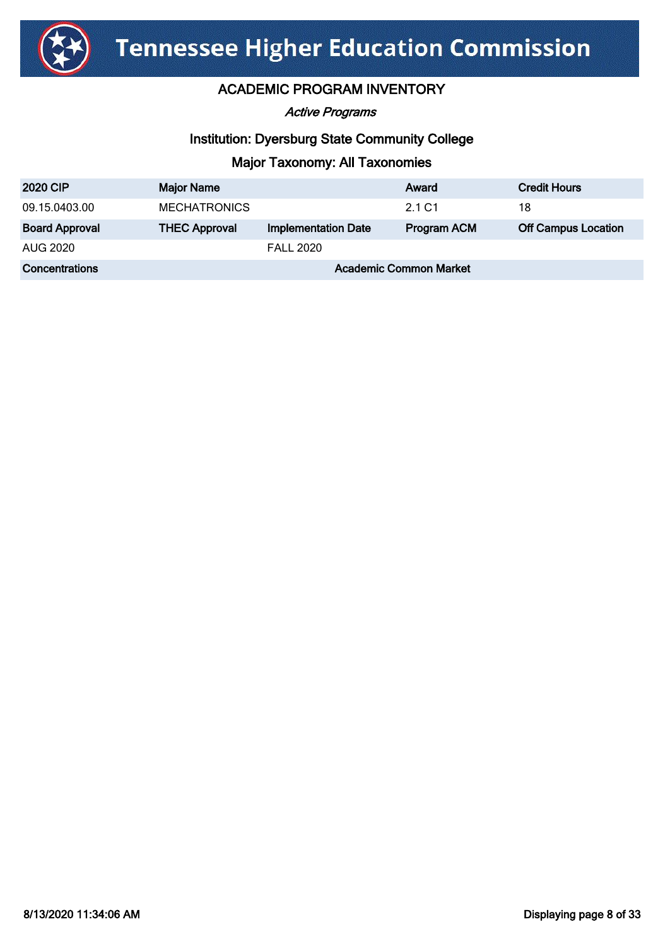

Active Programs

## Institution: Dyersburg State Community College

| <b>2020 CIP</b>       | <b>Major Name</b>             |                            | Award              | <b>Credit Hours</b>        |
|-----------------------|-------------------------------|----------------------------|--------------------|----------------------------|
| 09.15.0403.00         | <b>MECHATRONICS</b>           |                            | 2.1 C1             | 18                         |
| <b>Board Approval</b> | <b>THEC Approval</b>          | <b>Implementation Date</b> | <b>Program ACM</b> | <b>Off Campus Location</b> |
| <b>AUG 2020</b>       |                               | <b>FALL 2020</b>           |                    |                            |
| Concentrations        | <b>Academic Common Market</b> |                            |                    |                            |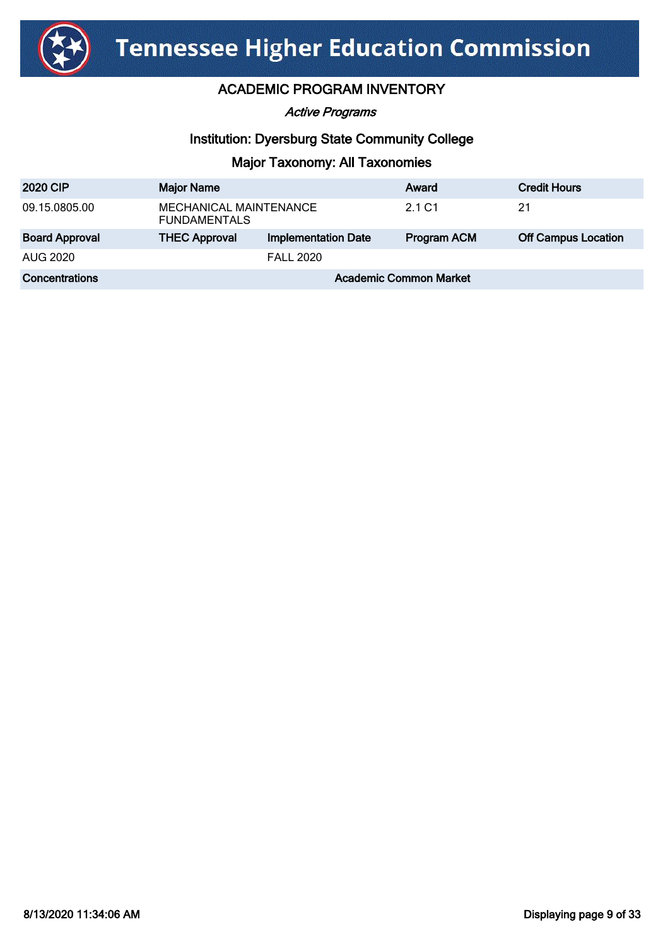

Active Programs

## Institution: Dyersburg State Community College

| <b>2020 CIP</b>       | <b>Major Name</b>                             |                            | Award       | <b>Credit Hours</b>        |
|-----------------------|-----------------------------------------------|----------------------------|-------------|----------------------------|
| 09.15.0805.00         | MECHANICAL MAINTENANCE<br><b>FUNDAMENTALS</b> |                            | 2.1 C1      | 21                         |
| <b>Board Approval</b> | <b>THEC Approval</b>                          | <b>Implementation Date</b> | Program ACM | <b>Off Campus Location</b> |
| AUG 2020              |                                               | <b>FALL 2020</b>           |             |                            |
| Concentrations        | <b>Academic Common Market</b>                 |                            |             |                            |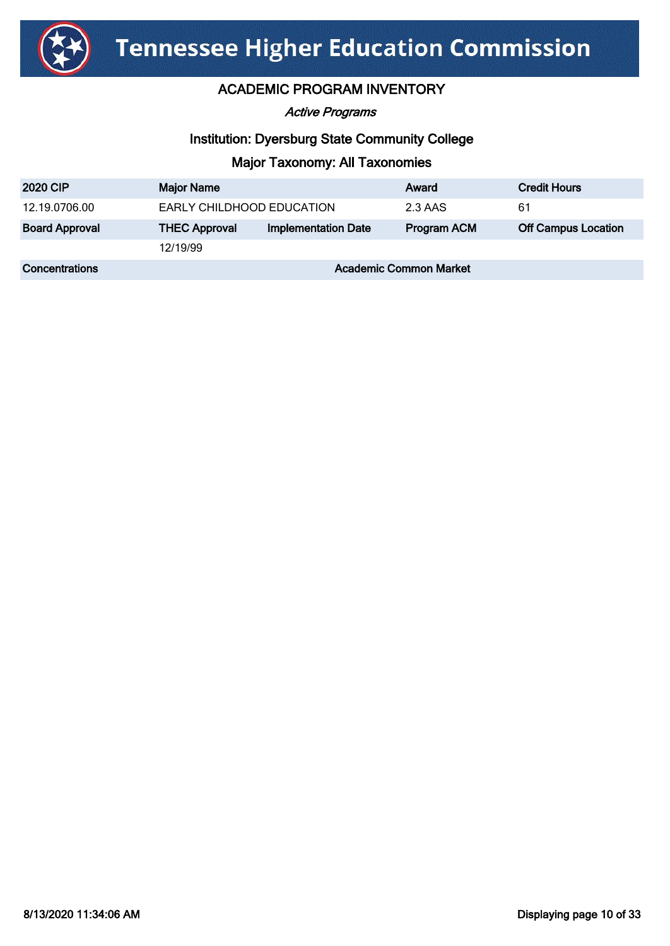

Active Programs

# Institution: Dyersburg State Community College

| <b>2020 CIP</b>       | <b>Major Name</b>             |                            | Award       | <b>Credit Hours</b>        |
|-----------------------|-------------------------------|----------------------------|-------------|----------------------------|
| 12.19.0706.00         | EARLY CHILDHOOD EDUCATION     |                            | 2.3 AAS     | 61                         |
| <b>Board Approval</b> | <b>THEC Approval</b>          | <b>Implementation Date</b> | Program ACM | <b>Off Campus Location</b> |
|                       | 12/19/99                      |                            |             |                            |
| <b>Concentrations</b> | <b>Academic Common Market</b> |                            |             |                            |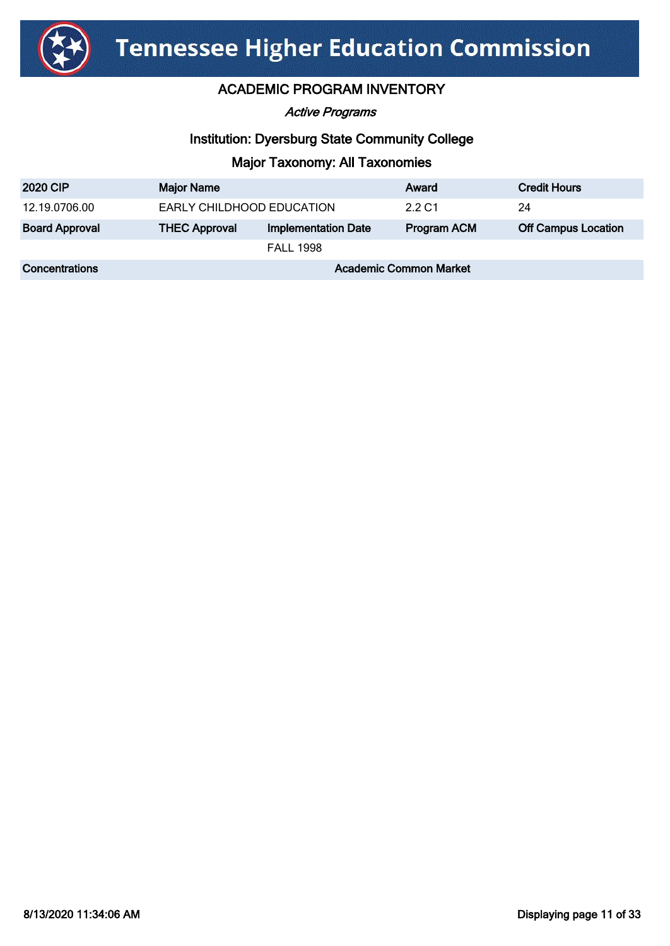

Active Programs

# Institution: Dyersburg State Community College

| <b>2020 CIP</b>       | <b>Major Name</b>             |                            | Award              | <b>Credit Hours</b>        |
|-----------------------|-------------------------------|----------------------------|--------------------|----------------------------|
| 12.19.0706.00         | EARLY CHILDHOOD EDUCATION     |                            | 2.2 C1             | 24                         |
| <b>Board Approval</b> | <b>THEC Approval</b>          | <b>Implementation Date</b> | <b>Program ACM</b> | <b>Off Campus Location</b> |
|                       |                               | <b>FALL 1998</b>           |                    |                            |
| <b>Concentrations</b> | <b>Academic Common Market</b> |                            |                    |                            |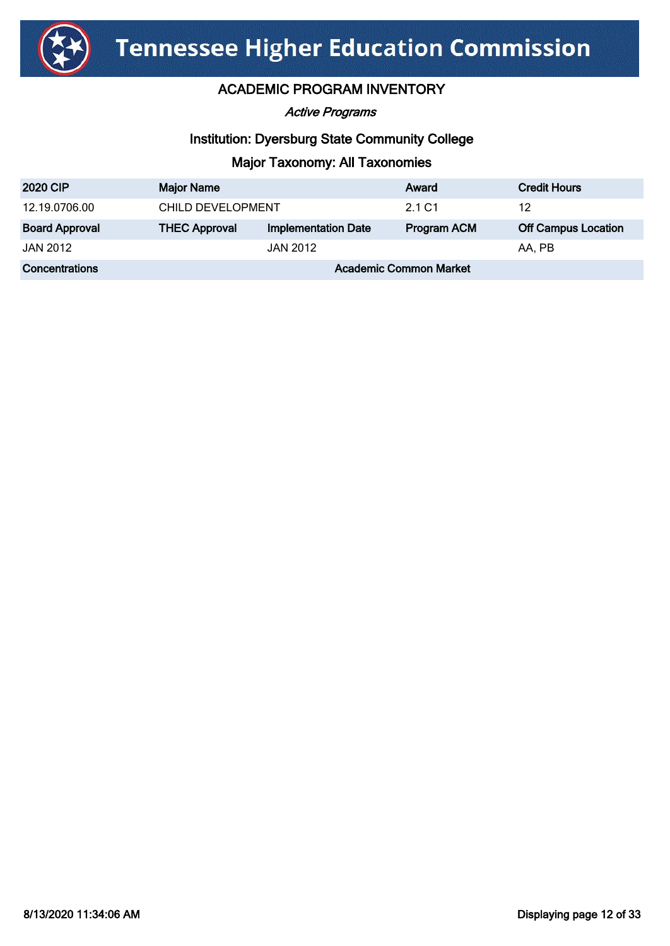

Active Programs

## Institution: Dyersburg State Community College

| <b>2020 CIP</b>       | <b>Major Name</b>             |                            | Award              | <b>Credit Hours</b>        |
|-----------------------|-------------------------------|----------------------------|--------------------|----------------------------|
| 12.19.0706.00         | CHILD DEVELOPMENT             |                            | 2.1 C1             | 12                         |
| <b>Board Approval</b> | <b>THEC Approval</b>          | <b>Implementation Date</b> | <b>Program ACM</b> | <b>Off Campus Location</b> |
| JAN 2012              |                               | <b>JAN 2012</b>            |                    | AA. PB                     |
| Concentrations        | <b>Academic Common Market</b> |                            |                    |                            |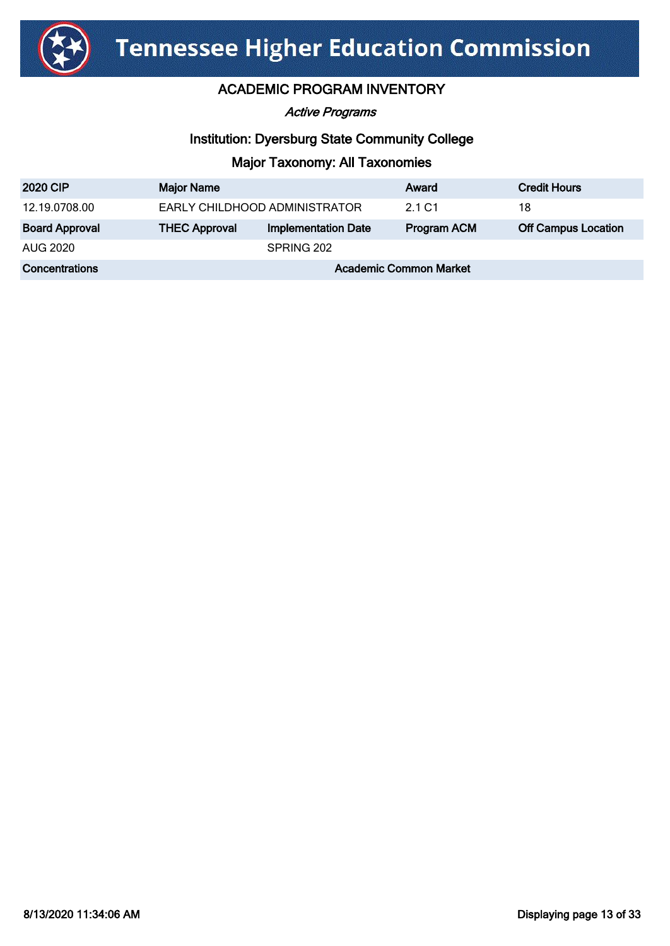

Active Programs

# Institution: Dyersburg State Community College

| <b>2020 CIP</b>       | <b>Major Name</b>             |                            | Award              | <b>Credit Hours</b>        |
|-----------------------|-------------------------------|----------------------------|--------------------|----------------------------|
| 12.19.0708.00         | EARLY CHILDHOOD ADMINISTRATOR |                            | 2.1 C <sub>1</sub> | 18                         |
| <b>Board Approval</b> | <b>THEC Approval</b>          | <b>Implementation Date</b> | <b>Program ACM</b> | <b>Off Campus Location</b> |
| AUG 2020              |                               | SPRING 202                 |                    |                            |
| <b>Concentrations</b> | <b>Academic Common Market</b> |                            |                    |                            |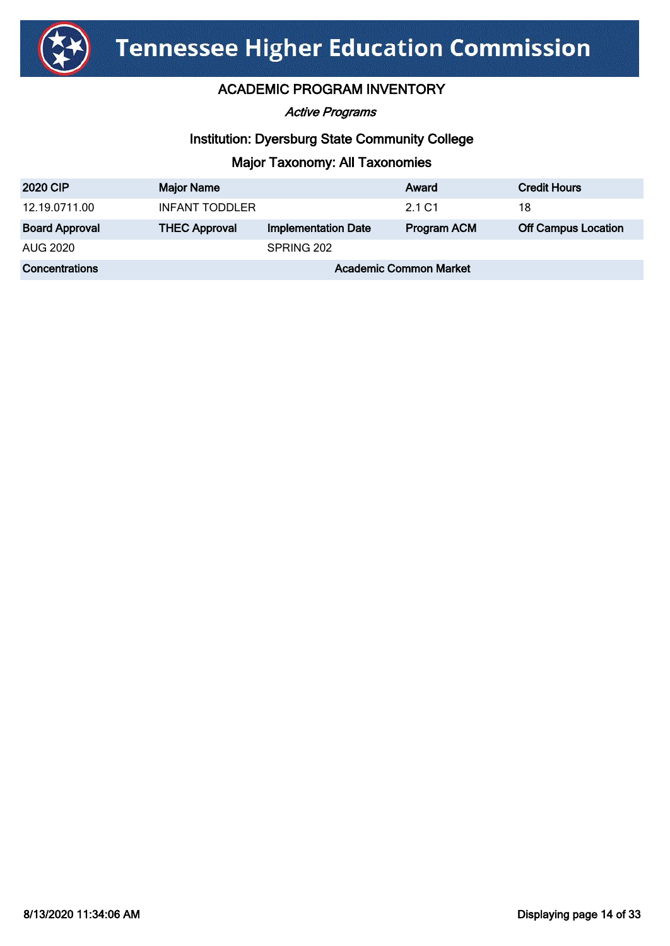

Active Programs

# Institution: Dyersburg State Community College

| <b>2020 CIP</b>       | <b>Major Name</b>             |                            | Award              | <b>Credit Hours</b>        |
|-----------------------|-------------------------------|----------------------------|--------------------|----------------------------|
| 12.19.0711.00         | INFANT TODDLER                |                            | 2.1 C1             | 18                         |
| <b>Board Approval</b> | <b>THEC Approval</b>          | <b>Implementation Date</b> | <b>Program ACM</b> | <b>Off Campus Location</b> |
| AUG 2020              |                               | SPRING 202                 |                    |                            |
| Concentrations        | <b>Academic Common Market</b> |                            |                    |                            |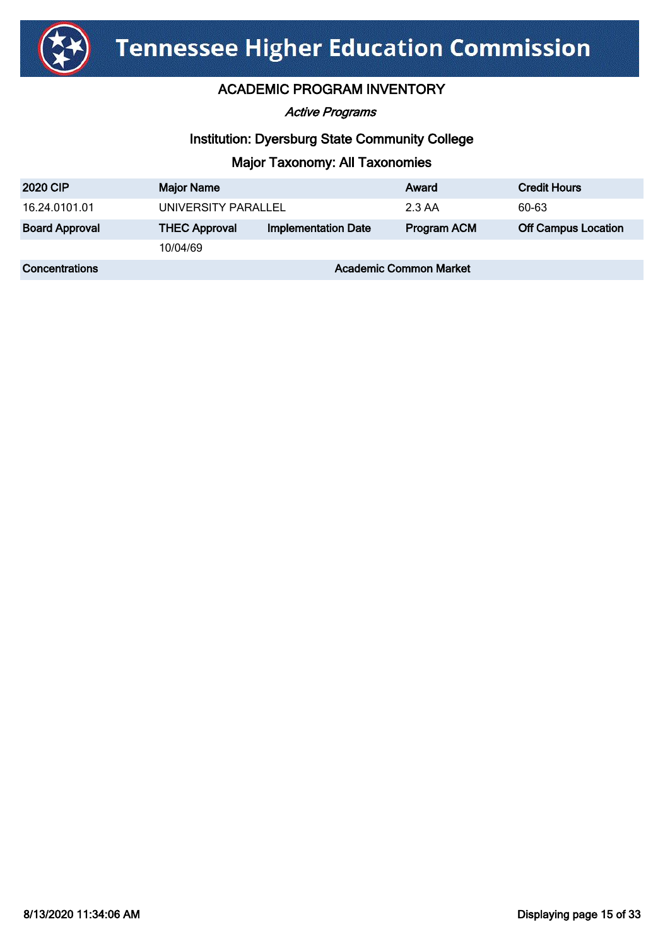

Active Programs

## Institution: Dyersburg State Community College

| <b>2020 CIP</b>       | <b>Major Name</b>             |                            | Award              | <b>Credit Hours</b>        |
|-----------------------|-------------------------------|----------------------------|--------------------|----------------------------|
| 16.24.0101.01         | UNIVERSITY PARALLEL           |                            | 2.3 AA             | 60-63                      |
| <b>Board Approval</b> | <b>THEC Approval</b>          | <b>Implementation Date</b> | <b>Program ACM</b> | <b>Off Campus Location</b> |
|                       | 10/04/69                      |                            |                    |                            |
| <b>Concentrations</b> | <b>Academic Common Market</b> |                            |                    |                            |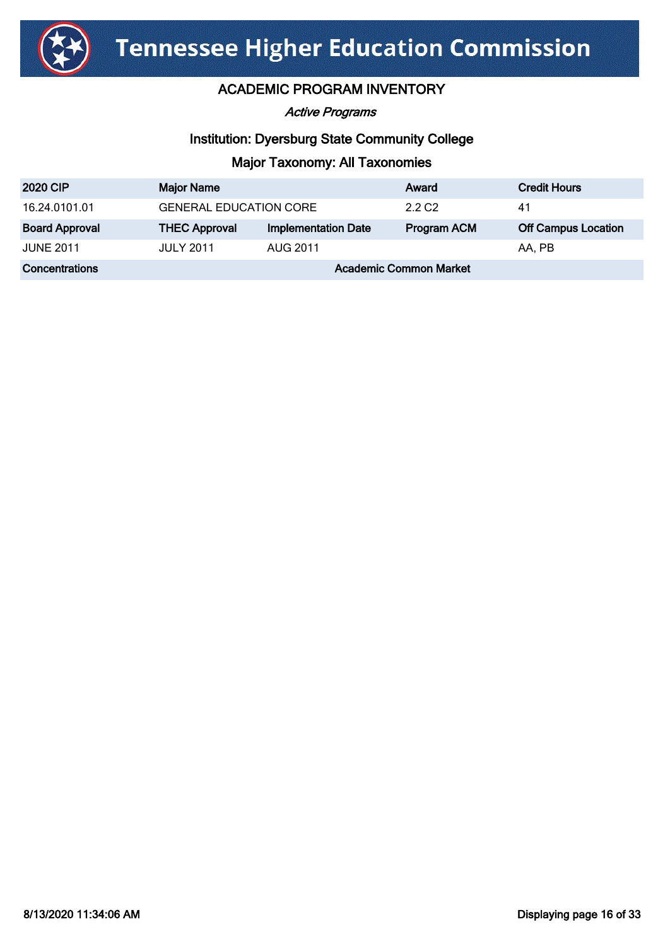

Active Programs

# Institution: Dyersburg State Community College

| <b>2020 CIP</b>       | <b>Major Name</b>             |                            | Award              | <b>Credit Hours</b>        |
|-----------------------|-------------------------------|----------------------------|--------------------|----------------------------|
| 16.24.0101.01         | <b>GENERAL EDUCATION CORE</b> |                            | 2.2 C <sub>2</sub> | 41                         |
| <b>Board Approval</b> | <b>THEC Approval</b>          | <b>Implementation Date</b> | <b>Program ACM</b> | <b>Off Campus Location</b> |
| <b>JUNE 2011</b>      | <b>JULY 2011</b>              | <b>AUG 2011</b>            |                    | AA, PB                     |
| <b>Concentrations</b> | <b>Academic Common Market</b> |                            |                    |                            |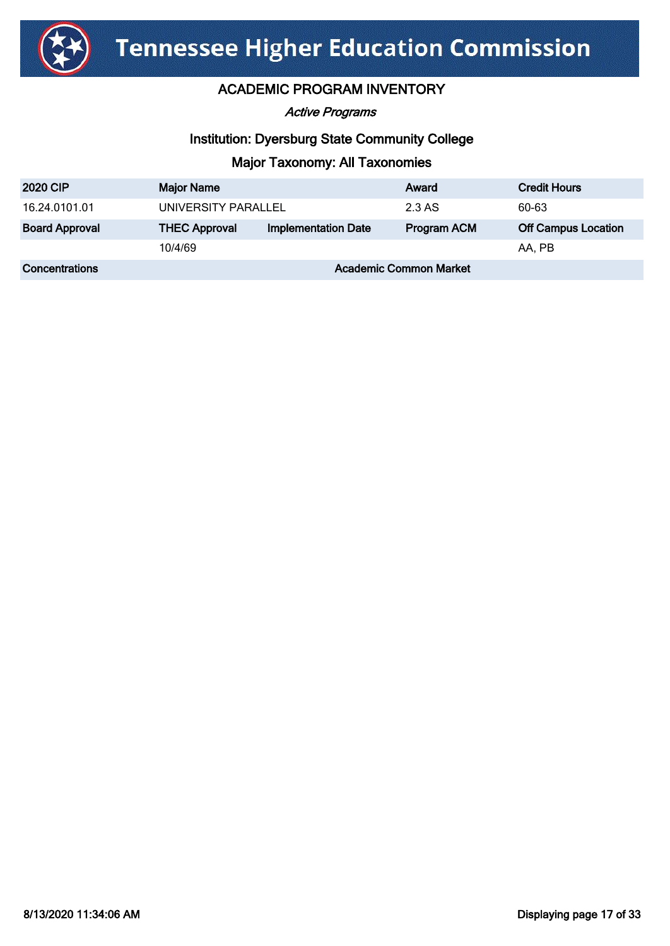

Active Programs

## Institution: Dyersburg State Community College

| <b>2020 CIP</b>       | <b>Major Name</b>             |                            | Award              | <b>Credit Hours</b>        |
|-----------------------|-------------------------------|----------------------------|--------------------|----------------------------|
| 16.24.0101.01         | UNIVERSITY PARALLEL           |                            | 2.3 AS             | 60-63                      |
| <b>Board Approval</b> | <b>THEC Approval</b>          | <b>Implementation Date</b> | <b>Program ACM</b> | <b>Off Campus Location</b> |
|                       | 10/4/69                       |                            |                    | AA, PB                     |
| Concentrations        | <b>Academic Common Market</b> |                            |                    |                            |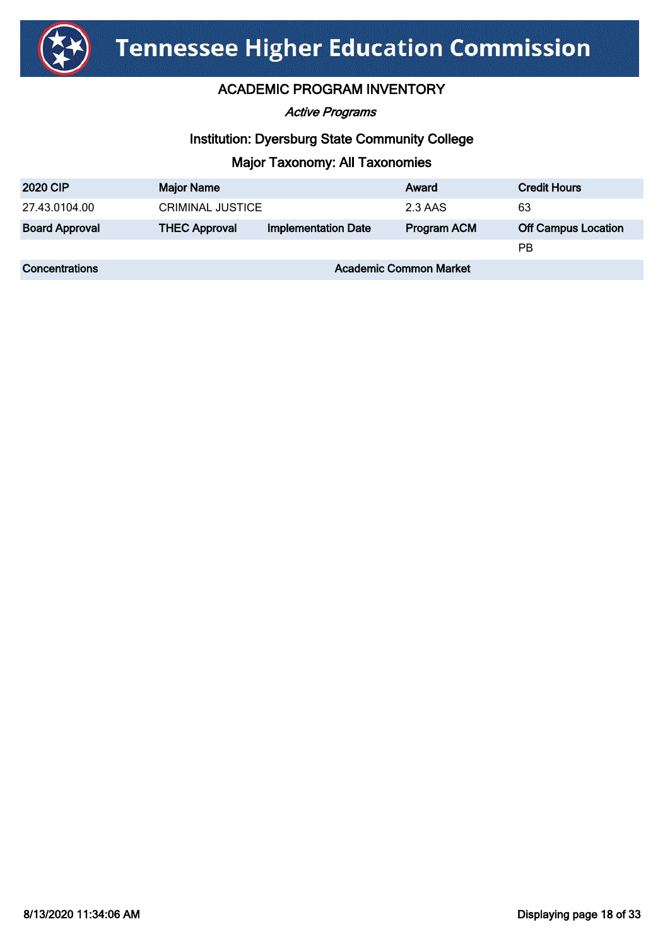

Active Programs

# Institution: Dyersburg State Community College

| <b>2020 CIP</b>       | <b>Major Name</b>             |                            | Award              | <b>Credit Hours</b>        |
|-----------------------|-------------------------------|----------------------------|--------------------|----------------------------|
| 27.43.0104.00         | <b>CRIMINAL JUSTICE</b>       |                            | 2.3 AAS            | 63                         |
| <b>Board Approval</b> | <b>THEC Approval</b>          | <b>Implementation Date</b> | <b>Program ACM</b> | <b>Off Campus Location</b> |
|                       |                               |                            |                    | <b>PB</b>                  |
| Concentrations        | <b>Academic Common Market</b> |                            |                    |                            |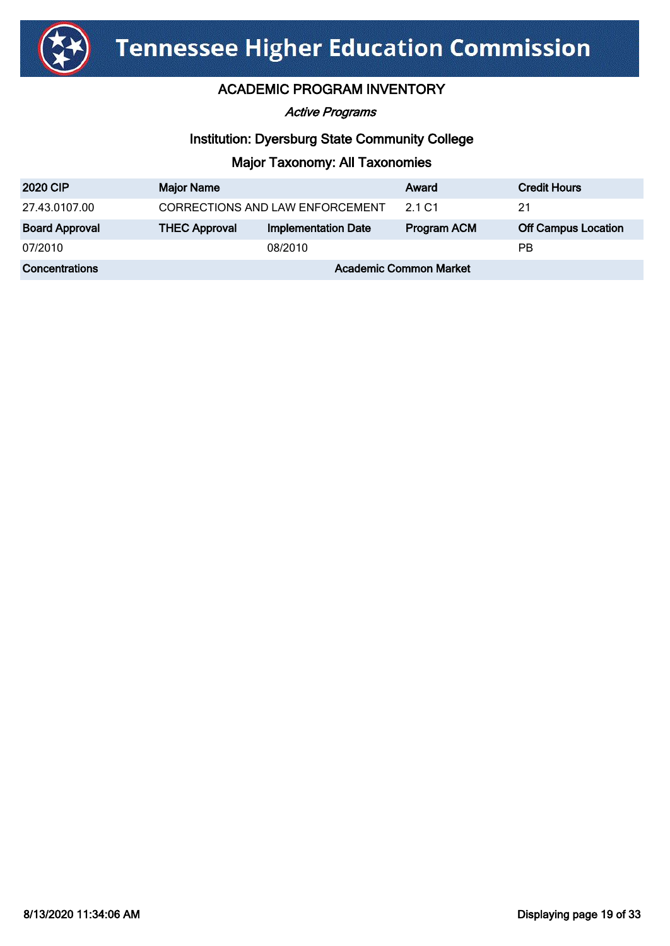

Active Programs

# Institution: Dyersburg State Community College

| <b>2020 CIP</b>       | <b>Major Name</b>               |                            | Award              | <b>Credit Hours</b>        |
|-----------------------|---------------------------------|----------------------------|--------------------|----------------------------|
| 27.43.0107.00         | CORRECTIONS AND LAW ENFORCEMENT |                            | 2.1 C <sub>1</sub> | 21                         |
| <b>Board Approval</b> | <b>THEC Approval</b>            | <b>Implementation Date</b> | <b>Program ACM</b> | <b>Off Campus Location</b> |
| 07/2010               |                                 | 08/2010                    |                    | РB                         |
| Concentrations        | <b>Academic Common Market</b>   |                            |                    |                            |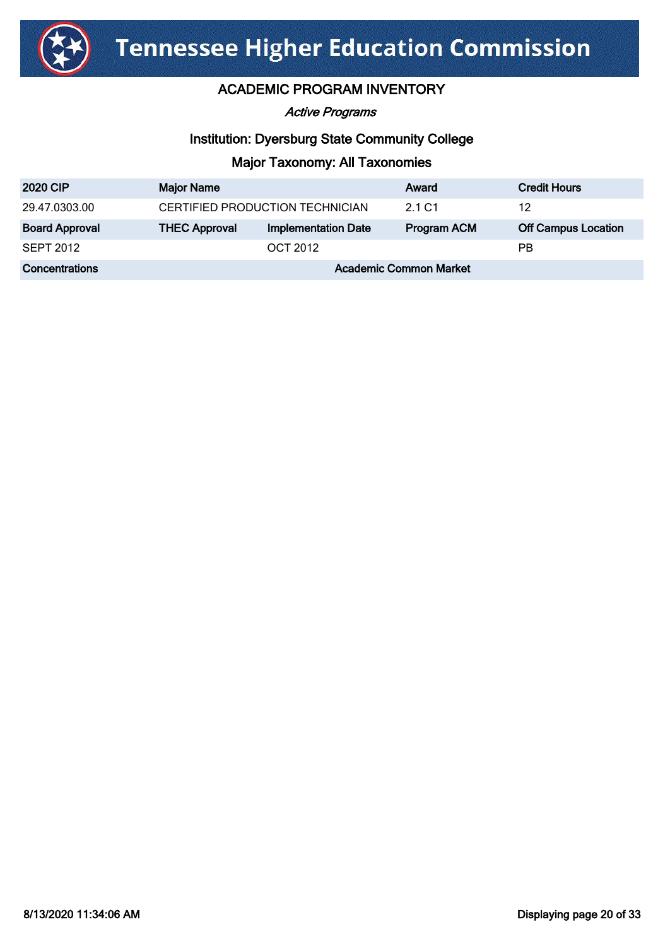

Active Programs

# Institution: Dyersburg State Community College

| <b>2020 CIP</b>       | <b>Major Name</b>               |                            | Award              | <b>Credit Hours</b>        |
|-----------------------|---------------------------------|----------------------------|--------------------|----------------------------|
| 29.47.0303.00         | CERTIFIED PRODUCTION TECHNICIAN |                            | 2.1 C <sub>1</sub> | 12                         |
| <b>Board Approval</b> | <b>THEC Approval</b>            | <b>Implementation Date</b> | <b>Program ACM</b> | <b>Off Campus Location</b> |
| <b>SEPT 2012</b>      |                                 | <b>OCT 2012</b>            |                    | РB                         |
| Concentrations        | <b>Academic Common Market</b>   |                            |                    |                            |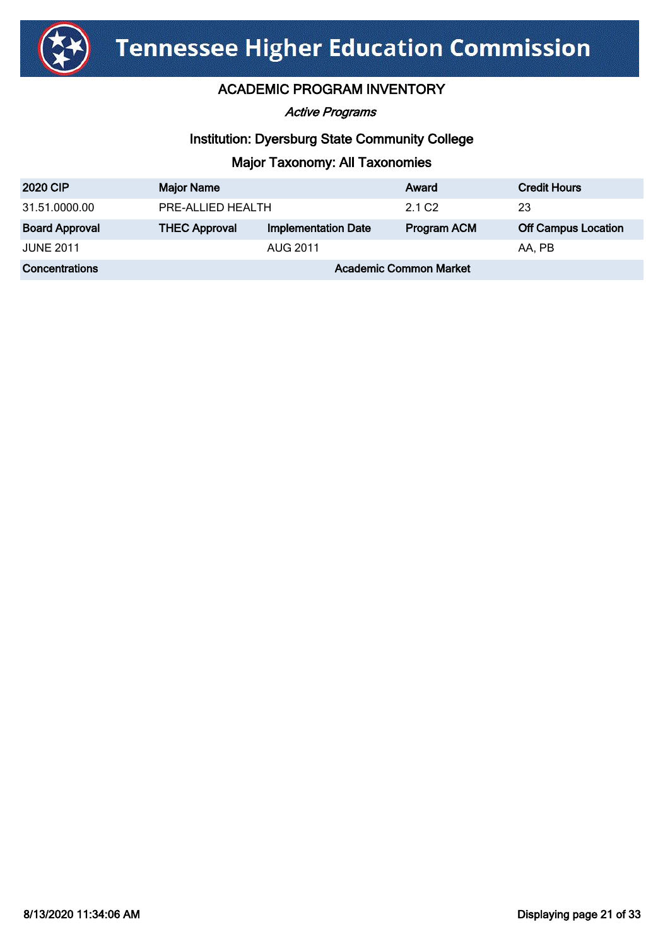

Active Programs

# Institution: Dyersburg State Community College

| <b>2020 CIP</b>       | <b>Major Name</b>             |                            | Award              | <b>Credit Hours</b>        |
|-----------------------|-------------------------------|----------------------------|--------------------|----------------------------|
| 31.51.0000.00         | PRE-ALLIED HEALTH             |                            | 2.1 C <sub>2</sub> | 23                         |
| <b>Board Approval</b> | <b>THEC Approval</b>          | <b>Implementation Date</b> | <b>Program ACM</b> | <b>Off Campus Location</b> |
| <b>JUNE 2011</b>      |                               | AUG 2011                   |                    | AA, PB                     |
| Concentrations        | <b>Academic Common Market</b> |                            |                    |                            |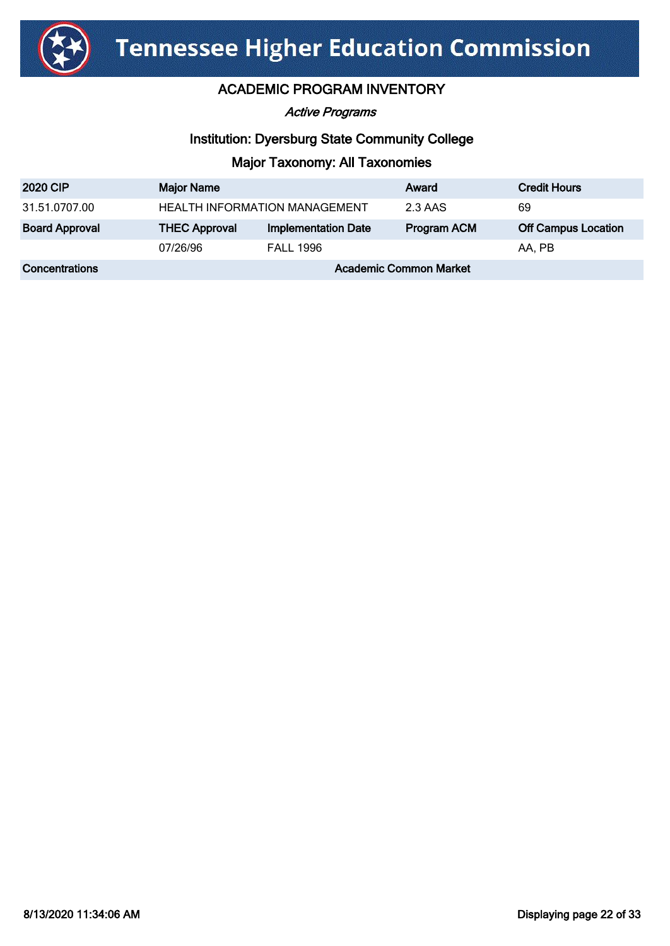

Active Programs

# Institution: Dyersburg State Community College

| <b>2020 CIP</b>       | <b>Major Name</b>                    |                            | Award              | <b>Credit Hours</b>        |
|-----------------------|--------------------------------------|----------------------------|--------------------|----------------------------|
| 31.51.0707.00         | <b>HEALTH INFORMATION MANAGEMENT</b> |                            | 2.3 AAS            | 69                         |
| <b>Board Approval</b> | <b>THEC Approval</b>                 | <b>Implementation Date</b> | <b>Program ACM</b> | <b>Off Campus Location</b> |
|                       | 07/26/96                             | <b>FALL 1996</b>           |                    | AA, PB                     |
| Concentrations        | <b>Academic Common Market</b>        |                            |                    |                            |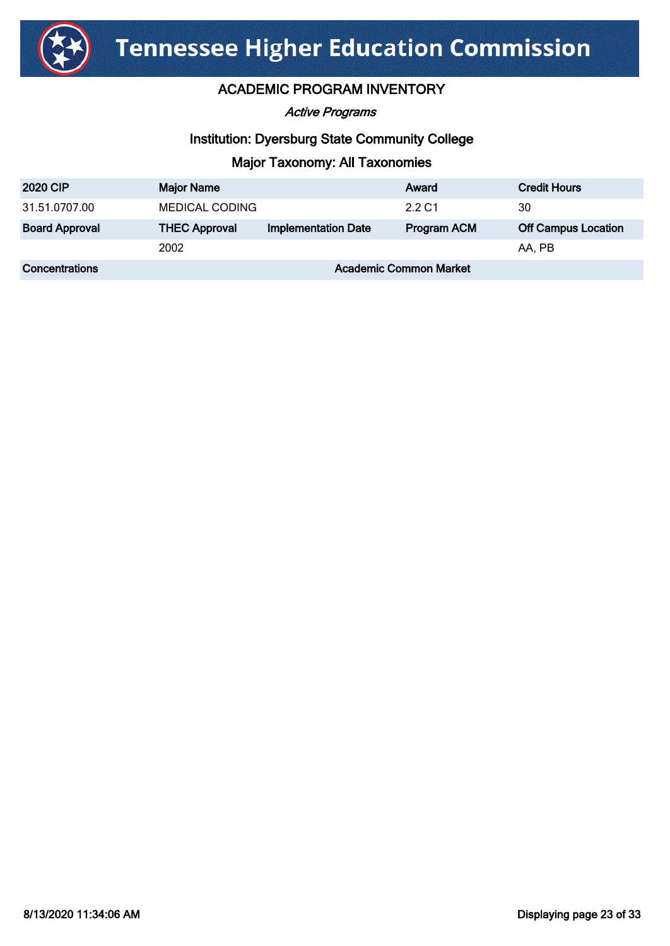

Active Programs

## Institution: Dyersburg State Community College

| <b>2020 CIP</b>       | <b>Major Name</b>             |                            | Award              | <b>Credit Hours</b>        |
|-----------------------|-------------------------------|----------------------------|--------------------|----------------------------|
| 31.51.0707.00         | <b>MEDICAL CODING</b>         |                            | 2.2 C1             | 30                         |
| <b>Board Approval</b> | <b>THEC Approval</b>          | <b>Implementation Date</b> | <b>Program ACM</b> | <b>Off Campus Location</b> |
|                       | 2002                          |                            |                    | AA, PB                     |
| Concentrations        | <b>Academic Common Market</b> |                            |                    |                            |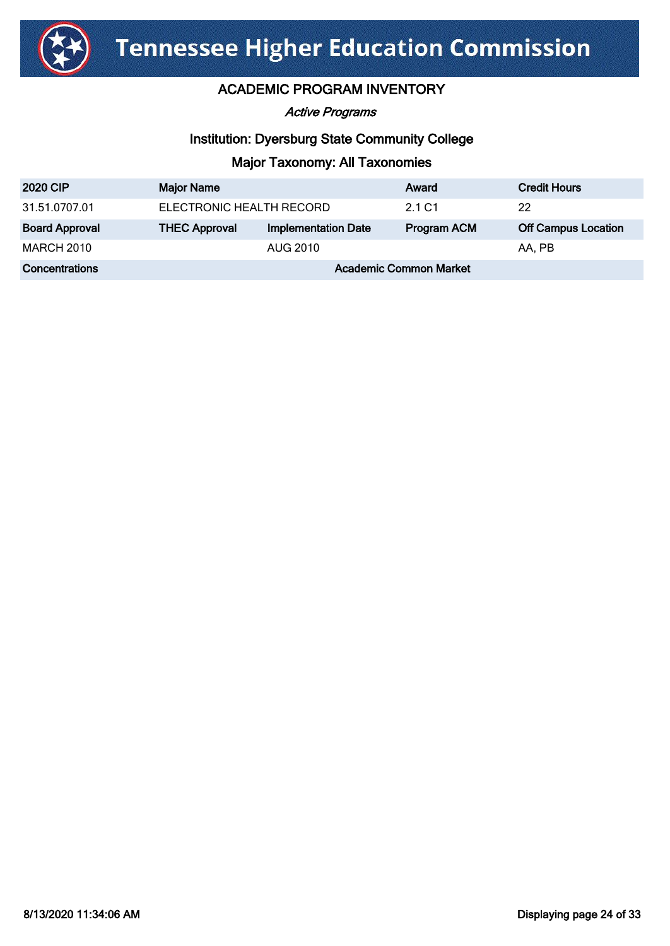

Active Programs

# Institution: Dyersburg State Community College

| <b>2020 CIP</b>       | <b>Major Name</b>             |                            | Award              | <b>Credit Hours</b>        |
|-----------------------|-------------------------------|----------------------------|--------------------|----------------------------|
| 31.51.0707.01         | ELECTRONIC HEALTH RECORD      |                            | 2.1 C1             | 22                         |
| <b>Board Approval</b> | <b>THEC Approval</b>          | <b>Implementation Date</b> | <b>Program ACM</b> | <b>Off Campus Location</b> |
| <b>MARCH 2010</b>     |                               | AUG 2010                   |                    | AA, PB                     |
| Concentrations        | <b>Academic Common Market</b> |                            |                    |                            |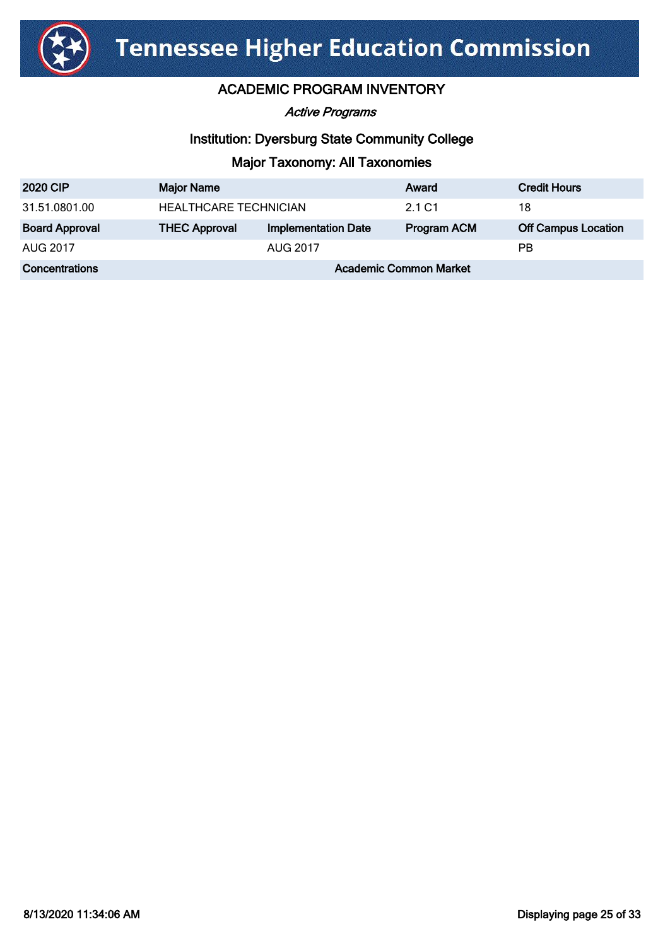

Active Programs

# Institution: Dyersburg State Community College

| <b>2020 CIP</b>       | <b>Major Name</b>             |                            | Award       | <b>Credit Hours</b>        |
|-----------------------|-------------------------------|----------------------------|-------------|----------------------------|
| 31.51.0801.00         | <b>HEALTHCARE TECHNICIAN</b>  |                            | 2.1 C1      | 18                         |
| <b>Board Approval</b> | <b>THEC Approval</b>          | <b>Implementation Date</b> | Program ACM | <b>Off Campus Location</b> |
| AUG 2017              | AUG 2017                      |                            |             | <b>PB</b>                  |
| Concentrations        | <b>Academic Common Market</b> |                            |             |                            |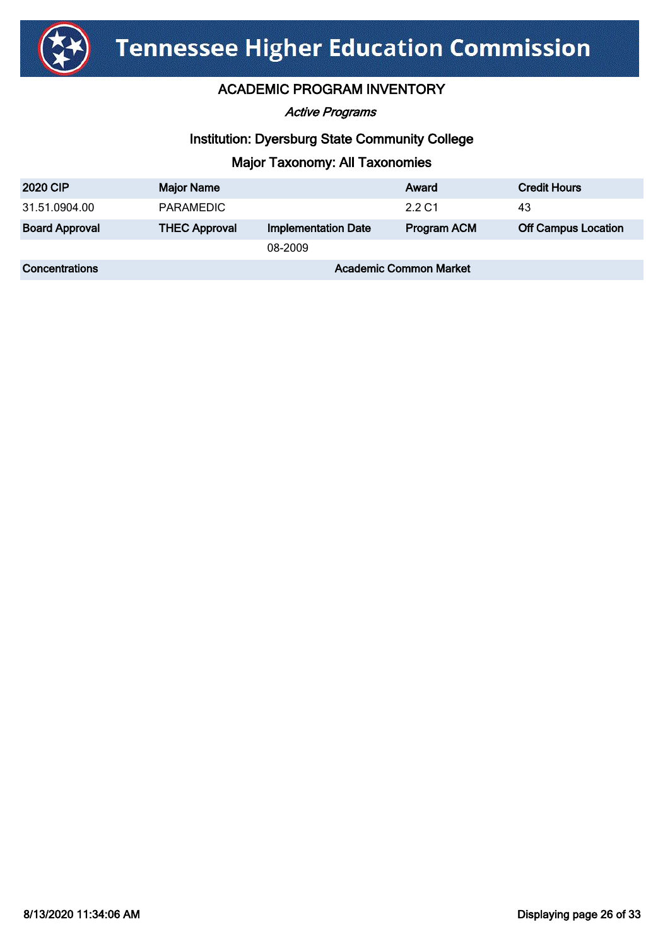

Active Programs

## Institution: Dyersburg State Community College

| <b>2020 CIP</b>       | <b>Major Name</b>             |                            | Award              | <b>Credit Hours</b>        |
|-----------------------|-------------------------------|----------------------------|--------------------|----------------------------|
| 31.51.0904.00         | <b>PARAMEDIC</b>              |                            | 2.2 C1             | 43                         |
| <b>Board Approval</b> | <b>THEC Approval</b>          | <b>Implementation Date</b> | <b>Program ACM</b> | <b>Off Campus Location</b> |
|                       |                               | 08-2009                    |                    |                            |
| Concentrations        | <b>Academic Common Market</b> |                            |                    |                            |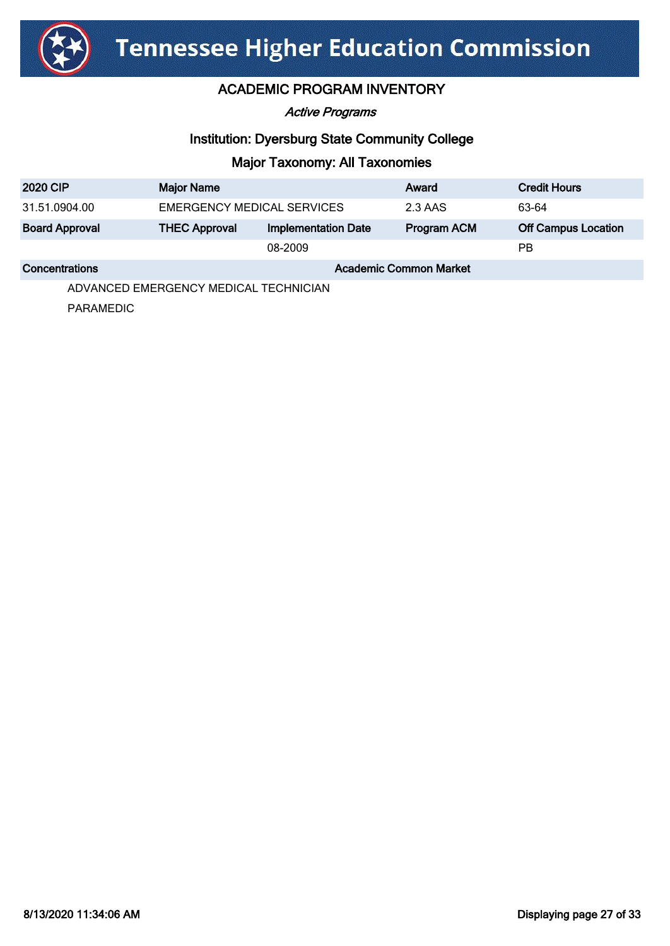

Active Programs

# Institution: Dyersburg State Community College

# Major Taxonomy: All Taxonomies

| <b>2020 CIP</b>       | <b>Major Name</b>             |                            | Award       | <b>Credit Hours</b>        |
|-----------------------|-------------------------------|----------------------------|-------------|----------------------------|
| 31.51.0904.00         | EMERGENCY MEDICAL SERVICES    |                            | 2.3 AAS     | 63-64                      |
| <b>Board Approval</b> | <b>THEC Approval</b>          | <b>Implementation Date</b> | Program ACM | <b>Off Campus Location</b> |
|                       | 08-2009                       |                            |             | РB                         |
| <b>Concentrations</b> | <b>Academic Common Market</b> |                            |             |                            |

ADVANCED EMERGENCY MEDICAL TECHNICIAN

PARAMEDIC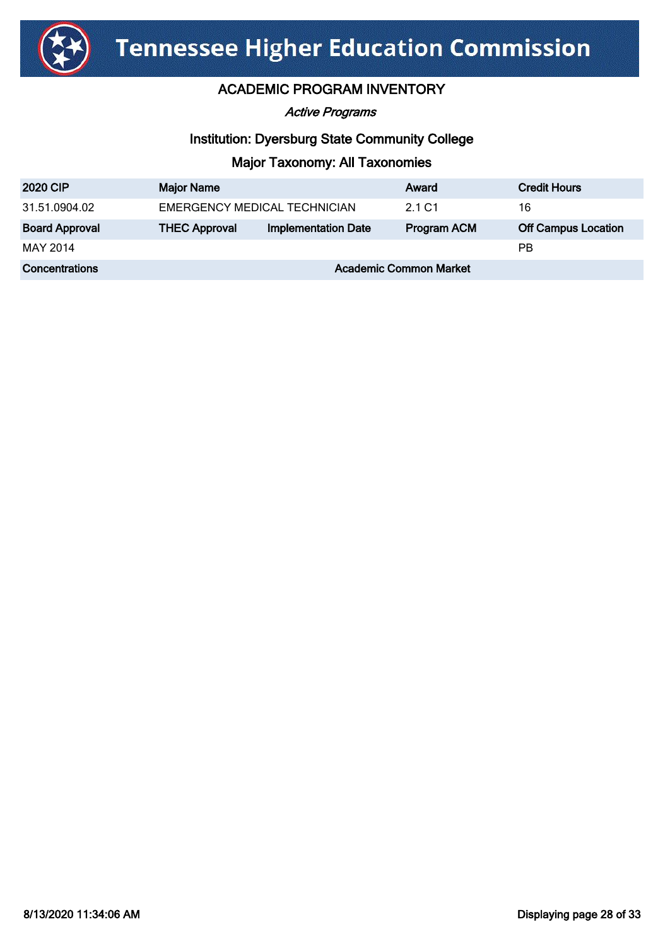

Active Programs

# Institution: Dyersburg State Community College

| <b>2020 CIP</b>       | <b>Major Name</b>             |                            | Award              | <b>Credit Hours</b>        |
|-----------------------|-------------------------------|----------------------------|--------------------|----------------------------|
| 31.51.0904.02         | EMERGENCY MEDICAL TECHNICIAN  |                            | 2.1 C1             | 16                         |
| <b>Board Approval</b> | <b>THEC Approval</b>          | <b>Implementation Date</b> | <b>Program ACM</b> | <b>Off Campus Location</b> |
| MAY 2014              |                               |                            |                    | РB                         |
| <b>Concentrations</b> | <b>Academic Common Market</b> |                            |                    |                            |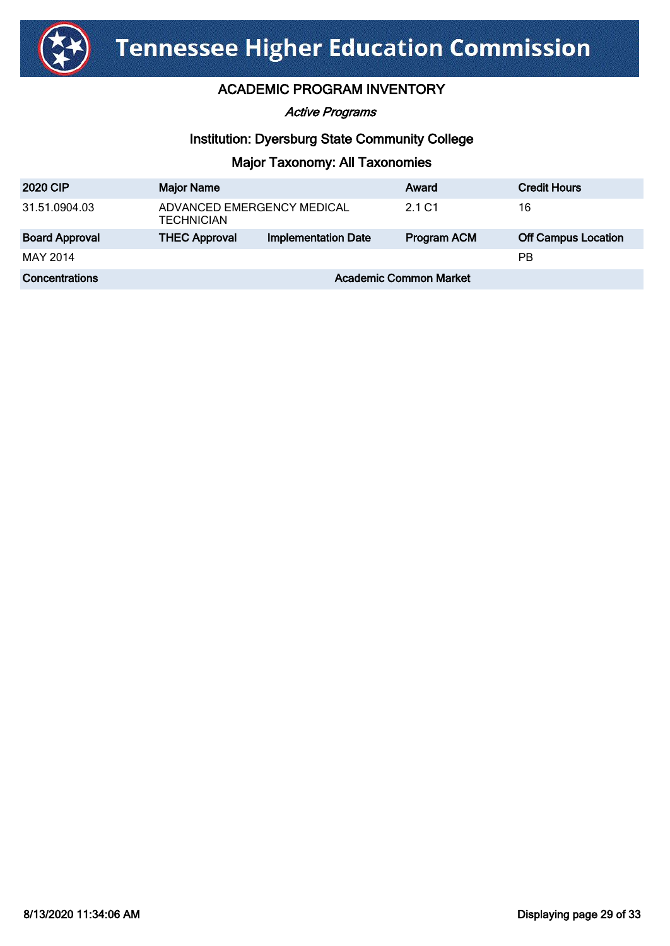

Active Programs

# Institution: Dyersburg State Community College

| <b>2020 CIP</b>       | <b>Major Name</b>                               |                            | Award       | <b>Credit Hours</b>        |
|-----------------------|-------------------------------------------------|----------------------------|-------------|----------------------------|
| 31.51.0904.03         | ADVANCED EMERGENCY MEDICAL<br><b>TECHNICIAN</b> |                            | 2.1 C1      | 16                         |
| <b>Board Approval</b> | <b>THEC Approval</b>                            | <b>Implementation Date</b> | Program ACM | <b>Off Campus Location</b> |
| MAY 2014              |                                                 |                            |             | РB                         |
| Concentrations        | <b>Academic Common Market</b>                   |                            |             |                            |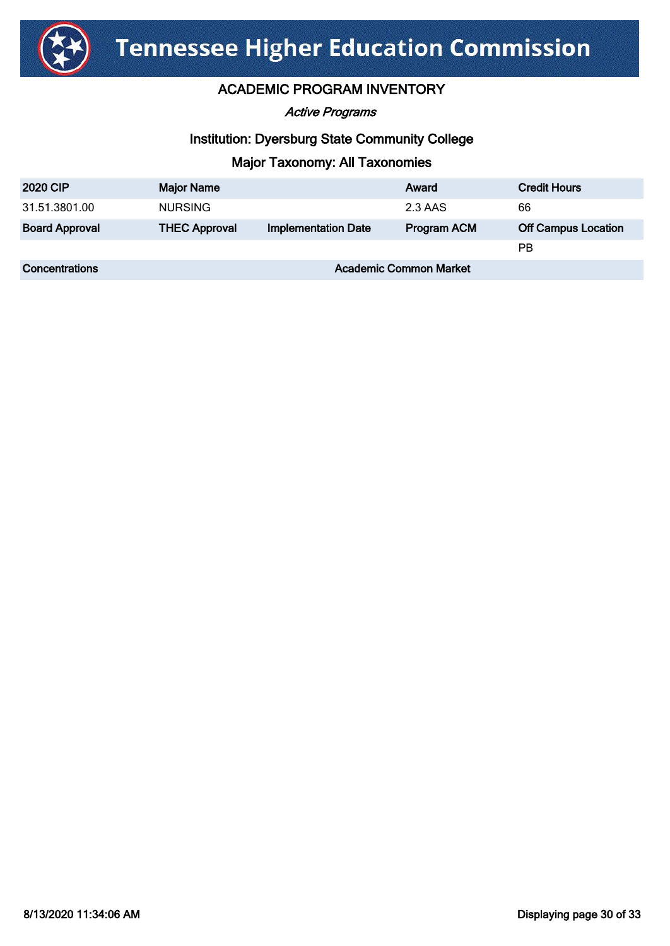

Active Programs

# Institution: Dyersburg State Community College

| <b>2020 CIP</b>       | <b>Major Name</b>             |                            | Award       | <b>Credit Hours</b>        |
|-----------------------|-------------------------------|----------------------------|-------------|----------------------------|
| 31.51.3801.00         | <b>NURSING</b>                |                            | 2.3 AAS     | 66                         |
| <b>Board Approval</b> | <b>THEC Approval</b>          | <b>Implementation Date</b> | Program ACM | <b>Off Campus Location</b> |
|                       |                               |                            |             | РB                         |
| Concentrations        | <b>Academic Common Market</b> |                            |             |                            |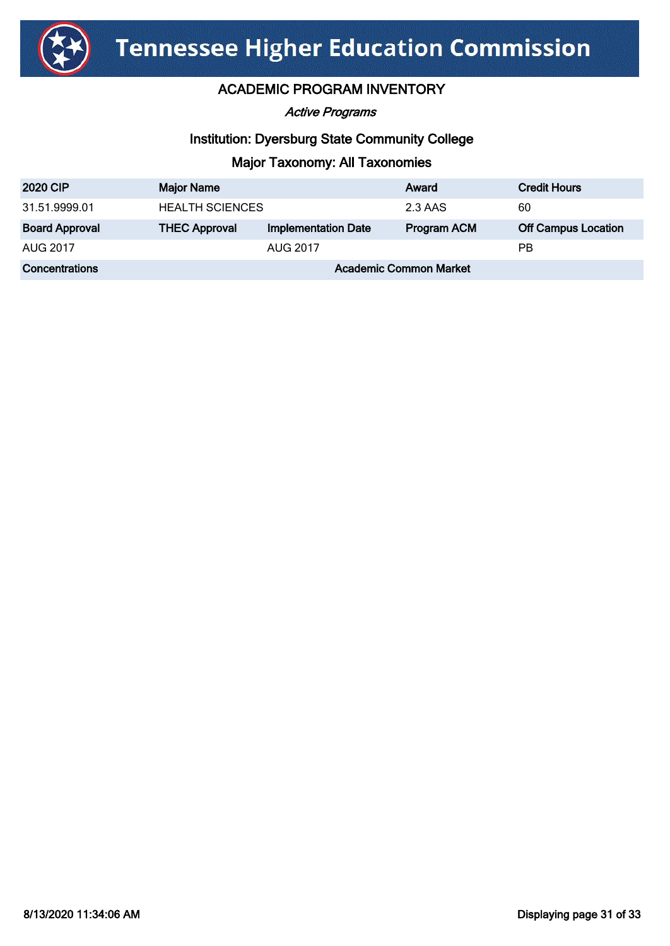

Active Programs

## Institution: Dyersburg State Community College

| <b>2020 CIP</b>       | <b>Major Name</b>             |                            | Award       | <b>Credit Hours</b>        |
|-----------------------|-------------------------------|----------------------------|-------------|----------------------------|
| 31.51.9999.01         | <b>HEALTH SCIENCES</b>        |                            | 2.3 AAS     | 60                         |
| <b>Board Approval</b> | <b>THEC Approval</b>          | <b>Implementation Date</b> | Program ACM | <b>Off Campus Location</b> |
| AUG 2017              | AUG 2017                      |                            | <b>PB</b>   |                            |
| Concentrations        | <b>Academic Common Market</b> |                            |             |                            |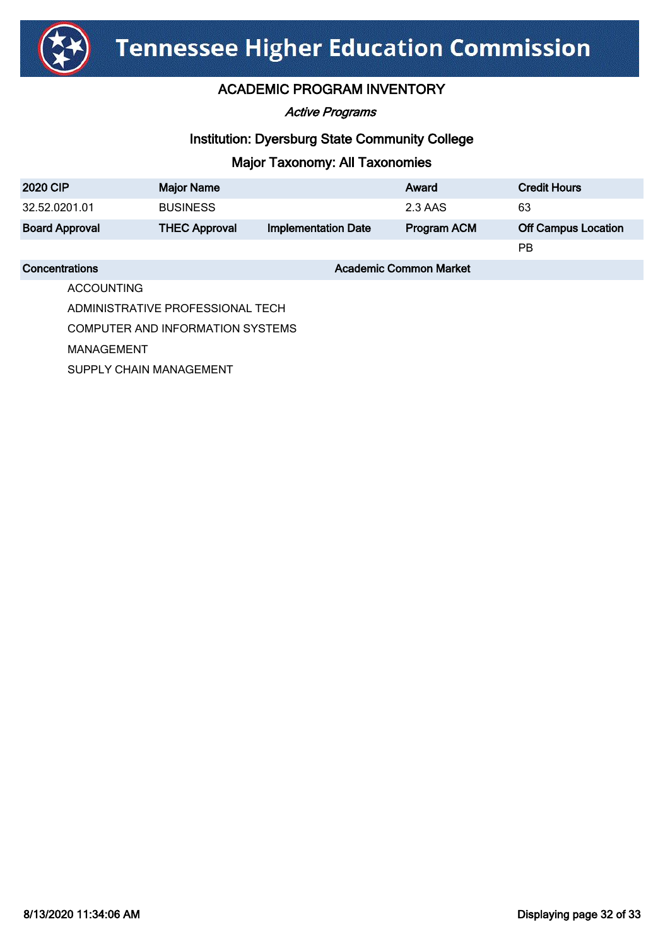

Active Programs

# Institution: Dyersburg State Community College

# Major Taxonomy: All Taxonomies

| <b>2020 CIP</b>       | <b>Major Name</b>             |                            | Award              | <b>Credit Hours</b>        |
|-----------------------|-------------------------------|----------------------------|--------------------|----------------------------|
| 32.52.0201.01         | <b>BUSINESS</b>               |                            | 2.3 AAS            | 63                         |
| <b>Board Approval</b> | <b>THEC Approval</b>          | <b>Implementation Date</b> | <b>Program ACM</b> | <b>Off Campus Location</b> |
|                       |                               |                            |                    | РB                         |
| Concentrations        | <b>Academic Common Market</b> |                            |                    |                            |

ACCOUNTING

ADMINISTRATIVE PROFESSIONAL TECH COMPUTER AND INFORMATION SYSTEMS MANAGEMENT SUPPLY CHAIN MANAGEMENT